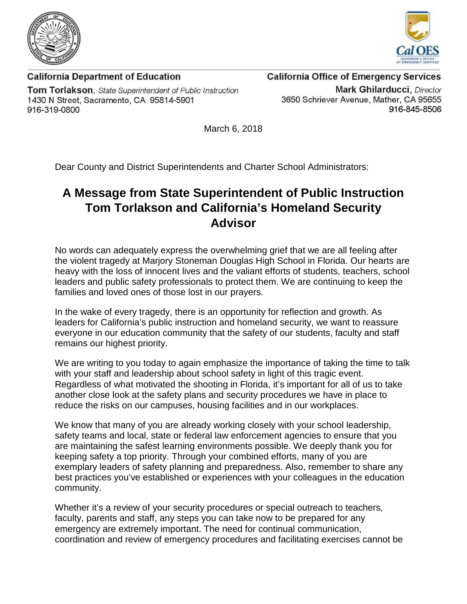



**California Department of Education** Tom Torlakson, State Superintendent of Public Instruction 1430 N Street, Sacramento, CA 95814-5901 916-319-0800

## **California Office of Emergency Services**

**Mark Ghilarducci**, Director 3650 Schriever Avenue, Mather, CA 95655 916-845-8506

March 6, 2018

Dear County and District Superintendents and Charter School Administrators:

## **A Message from State Superintendent of Public Instruction Tom Torlakson and California's Homeland Security Advisor**

No words can adequately express the overwhelming grief that we are all feeling after the violent tragedy at Marjory Stoneman Douglas High School in Florida. Our hearts are heavy with the loss of innocent lives and the valiant efforts of students, teachers, school leaders and public safety professionals to protect them. We are continuing to keep the families and loved ones of those lost in our prayers.

In the wake of every tragedy, there is an opportunity for reflection and growth. As leaders for California's public instruction and homeland security, we want to reassure everyone in our education community that the safety of our students, faculty and staff remains our highest priority.

We are writing to you today to again emphasize the importance of taking the time to talk with your staff and leadership about school safety in light of this tragic event. Regardless of what motivated the shooting in Florida, it's important for all of us to take another close look at the safety plans and security procedures we have in place to reduce the risks on our campuses, housing facilities and in our workplaces.

We know that many of you are already working closely with your school leadership, safety teams and local, state or federal law enforcement agencies to ensure that you are maintaining the safest learning environments possible. We deeply thank you for keeping safety a top priority. Through your combined efforts, many of you are exemplary leaders of safety planning and preparedness. Also, remember to share any best practices you've established or experiences with your colleagues in the education community.

Whether it's a review of your security procedures or special outreach to teachers, faculty, parents and staff, any steps you can take now to be prepared for any emergency are extremely important. The need for continual communication, coordination and review of emergency procedures and facilitating exercises cannot be